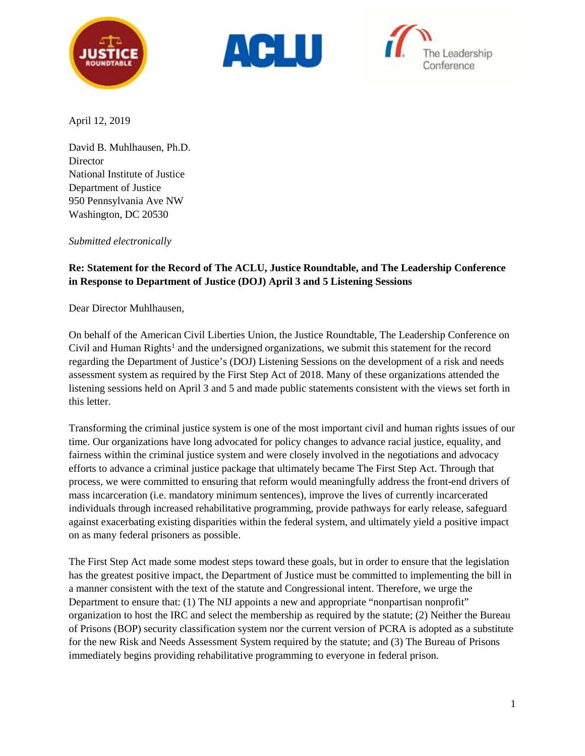





April 12, 2019

David B. Muhlhausen, Ph.D. **Director** National Institute of Justice Department of Justice 950 Pennsylvania Ave NW Washington, DC 20530

*Submitted electronically*

## **Re: Statement for the Record of The ACLU, Justice Roundtable, and The Leadership Conference in Response to Department of Justice (DOJ) April 3 and 5 Listening Sessions**

Dear Director Muhlhausen,

On behalf of the American Civil Liberties Union, the Justice Roundtable, The Leadership Conference on Civil and Human Rights<sup>[1](#page-5-0)</sup> and the undersigned organizations, we submit this statement for the record regarding the Department of Justice's (DOJ) Listening Sessions on the development of a risk and needs assessment system as required by the First Step Act of 2018. Many of these organizations attended the listening sessions held on April 3 and 5 and made public statements consistent with the views set forth in this letter.

Transforming the criminal justice system is one of the most important civil and human rights issues of our time. Our organizations have long advocated for policy changes to advance racial justice, equality, and fairness within the criminal justice system and were closely involved in the negotiations and advocacy efforts to advance a criminal justice package that ultimately became The First Step Act. Through that process, we were committed to ensuring that reform would meaningfully address the front-end drivers of mass incarceration (i.e. mandatory minimum sentences), improve the lives of currently incarcerated individuals through increased rehabilitative programming, provide pathways for early release, safeguard against exacerbating existing disparities within the federal system, and ultimately yield a positive impact on as many federal prisoners as possible.

The First Step Act made some modest steps toward these goals, but in order to ensure that the legislation has the greatest positive impact, the Department of Justice must be committed to implementing the bill in a manner consistent with the text of the statute and Congressional intent. Therefore, we urge the Department to ensure that: (1) The NIJ appoints a new and appropriate "nonpartisan nonprofit" organization to host the IRC and select the membership as required by the statute; (2) Neither the Bureau of Prisons (BOP) security classification system nor the current version of PCRA is adopted as a substitute for the new Risk and Needs Assessment System required by the statute; and (3) The Bureau of Prisons immediately begins providing rehabilitative programming to everyone in federal prison.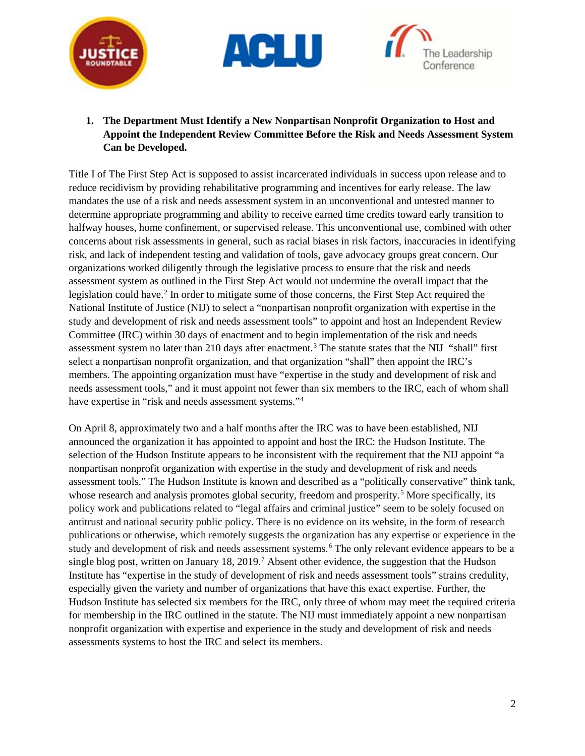





**1. The Department Must Identify a New Nonpartisan Nonprofit Organization to Host and Appoint the Independent Review Committee Before the Risk and Needs Assessment System Can be Developed.**

Title I of The First Step Act is supposed to assist incarcerated individuals in success upon release and to reduce recidivism by providing rehabilitative programming and incentives for early release. The law mandates the use of a risk and needs assessment system in an unconventional and untested manner to determine appropriate programming and ability to receive earned time credits toward early transition to halfway houses, home confinement, or supervised release. This unconventional use, combined with other concerns about risk assessments in general, such as racial biases in risk factors, inaccuracies in identifying risk, and lack of independent testing and validation of tools, gave advocacy groups great concern. Our organizations worked diligently through the legislative process to ensure that the risk and needs assessment system as outlined in the First Step Act would not undermine the overall impact that the legislation could have.<sup>[2](#page-5-1)</sup> In order to mitigate some of those concerns, the First Step Act required the National Institute of Justice (NIJ) to select a "nonpartisan nonprofit organization with expertise in the study and development of risk and needs assessment tools" to appoint and host an Independent Review Committee (IRC) within 30 days of enactment and to begin implementation of the risk and needs assessment system no later than 210 days after enactment.<sup>[3](#page-5-2)</sup> The statute states that the NIJ "shall" first select a nonpartisan nonprofit organization, and that organization "shall" then appoint the IRC's members. The appointing organization must have "expertise in the study and development of risk and needs assessment tools," and it must appoint not fewer than six members to the IRC, each of whom shall have expertise in "risk and needs assessment systems."<sup>[4](#page-5-3)</sup>

On April 8, approximately two and a half months after the IRC was to have been established, NIJ announced the organization it has appointed to appoint and host the IRC: the Hudson Institute. The selection of the Hudson Institute appears to be inconsistent with the requirement that the NIJ appoint "a nonpartisan nonprofit organization with expertise in the study and development of risk and needs assessment tools." The Hudson Institute is known and described as a "politically conservative" think tank, whose research and analysis promotes global security, freedom and prosperity.<sup>[5](#page-5-4)</sup> More specifically, its policy work and publications related to "legal affairs and criminal justice" seem to be solely focused on antitrust and national security public policy. There is no evidence on its website, in the form of research publications or otherwise, which remotely suggests the organization has any expertise or experience in the study and development of risk and needs assessment systems.<sup>[6](#page-5-5)</sup> The only relevant evidence appears to be a single blog post, written on January 18, 2019.<sup>[7](#page-6-0)</sup> Absent other evidence, the suggestion that the Hudson Institute has "expertise in the study of development of risk and needs assessment tools" strains credulity, especially given the variety and number of organizations that have this exact expertise. Further, the Hudson Institute has selected six members for the IRC, only three of whom may meet the required criteria for membership in the IRC outlined in the statute. The NIJ must immediately appoint a new nonpartisan nonprofit organization with expertise and experience in the study and development of risk and needs assessments systems to host the IRC and select its members.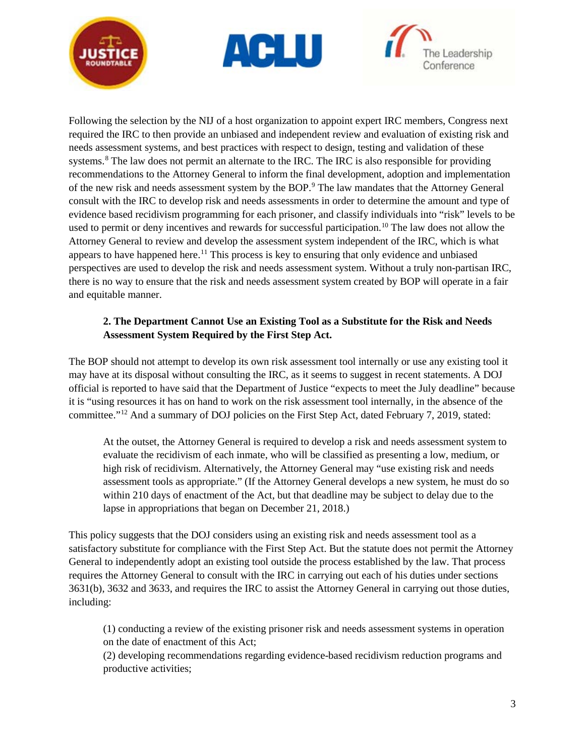





Following the selection by the NIJ of a host organization to appoint expert IRC members, Congress next required the IRC to then provide an unbiased and independent review and evaluation of existing risk and needs assessment systems, and best practices with respect to design, testing and validation of these systems.<sup>[8](#page-6-1)</sup> The law does not permit an alternate to the IRC. The IRC is also responsible for providing recommendations to the Attorney General to inform the final development, adoption and implementation of the new risk and needs assessment system by the BOP.[9](#page-6-2) The law mandates that the Attorney General consult with the IRC to develop risk and needs assessments in order to determine the amount and type of evidence based recidivism programming for each prisoner, and classify individuals into "risk" levels to be used to permit or deny incentives and rewards for successful participation.<sup>[10](#page-6-3)</sup> The law does not allow the Attorney General to review and develop the assessment system independent of the IRC, which is what appears to have happened here.<sup>[11](#page-6-4)</sup> This process is key to ensuring that only evidence and unbiased perspectives are used to develop the risk and needs assessment system. Without a truly non-partisan IRC, there is no way to ensure that the risk and needs assessment system created by BOP will operate in a fair and equitable manner.

## **2. The Department Cannot Use an Existing Tool as a Substitute for the Risk and Needs Assessment System Required by the First Step Act.**

The BOP should not attempt to develop its own risk assessment tool internally or use any existing tool it may have at its disposal without consulting the IRC, as it seems to suggest in recent statements. A DOJ official is reported to have said that the Department of Justice "expects to meet the July deadline" because it is "using resources it has on hand to work on the risk assessment tool internally, in the absence of the committee."[12](#page-6-5) And a summary of DOJ policies on the First Step Act, dated February 7, 2019, stated:

At the outset, the Attorney General is required to develop a risk and needs assessment system to evaluate the recidivism of each inmate, who will be classified as presenting a low, medium, or high risk of recidivism. Alternatively, the Attorney General may "use existing risk and needs assessment tools as appropriate." (If the Attorney General develops a new system, he must do so within 210 days of enactment of the Act, but that deadline may be subject to delay due to the lapse in appropriations that began on December 21, 2018.)

This policy suggests that the DOJ considers using an existing risk and needs assessment tool as a satisfactory substitute for compliance with the First Step Act. But the statute does not permit the Attorney General to independently adopt an existing tool outside the process established by the law. That process requires the Attorney General to consult with the IRC in carrying out each of his duties under sections 3631(b), 3632 and 3633, and requires the IRC to assist the Attorney General in carrying out those duties, including:

(1) conducting a review of the existing prisoner risk and needs assessment systems in operation on the date of enactment of this Act;

(2) developing recommendations regarding evidence-based recidivism reduction programs and productive activities;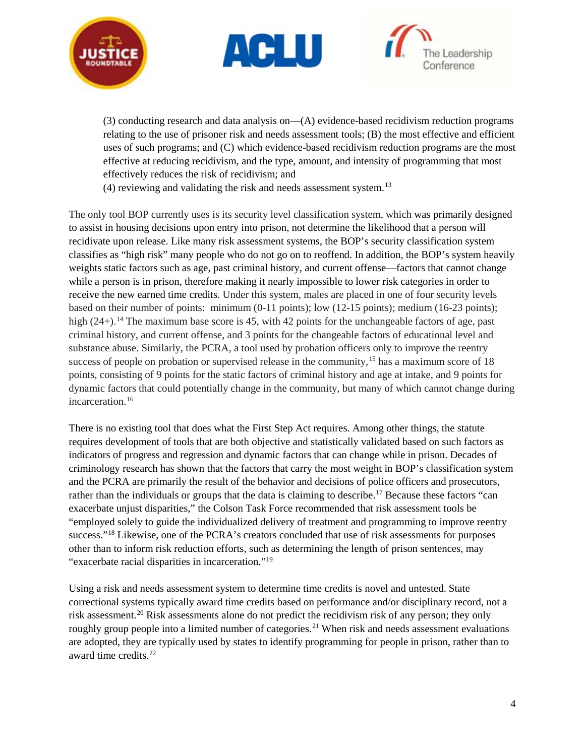





(3) conducting research and data analysis on—(A) evidence-based recidivism reduction programs relating to the use of prisoner risk and needs assessment tools; (B) the most effective and efficient uses of such programs; and (C) which evidence-based recidivism reduction programs are the most effective at reducing recidivism, and the type, amount, and intensity of programming that most effectively reduces the risk of recidivism; and

 $(4)$  reviewing and validating the risk and needs assessment system.<sup>13</sup>

The only tool BOP currently uses is its security level classification system, which was primarily designed to assist in housing decisions upon entry into prison, not determine the likelihood that a person will recidivate upon release. Like many risk assessment systems, the BOP's security classification system classifies as "high risk" many people who do not go on to reoffend. In addition, the BOP's system heavily weights static factors such as age, past criminal history, and current offense—factors that cannot change while a person is in prison, therefore making it nearly impossible to lower risk categories in order to receive the new earned time credits. Under this system, males are placed in one of four security levels based on their number of points: minimum (0-11 points); low (12-15 points); medium (16-23 points); high  $(24+)$ .<sup>[14](#page-6-7)</sup> The maximum base score is 45, with 42 points for the unchangeable factors of age, past criminal history, and current offense, and 3 points for the changeable factors of educational level and substance abuse. Similarly, the PCRA, a tool used by probation officers only to improve the reentry success of people on probation or supervised release in the community,<sup>[15](#page-6-8)</sup> has a maximum score of 18 points, consisting of 9 points for the static factors of criminal history and age at intake, and 9 points for dynamic factors that could potentially change in the community, but many of which cannot change during incarceration. [16](#page-6-9)

There is no existing tool that does what the First Step Act requires. Among other things, the statute requires development of tools that are both objective and statistically validated based on such factors as indicators of progress and regression and dynamic factors that can change while in prison. Decades of criminology research has shown that the factors that carry the most weight in BOP's classification system and the PCRA are primarily the result of the behavior and decisions of police officers and prosecutors, rather than the individuals or groups that the data is claiming to describe.<sup>[17](#page-6-10)</sup> Because these factors "can exacerbate unjust disparities," the Colson Task Force recommended that risk assessment tools be "employed solely to guide the individualized delivery of treatment and programming to improve reentry success."<sup>[18](#page-6-11)</sup> Likewise, one of the PCRA's creators concluded that use of risk assessments for purposes other than to inform risk reduction efforts, such as determining the length of prison sentences, may "exacerbate racial disparities in incarceration."[19](#page-6-12)

Using a risk and needs assessment system to determine time credits is novel and untested. State correctional systems typically award time credits based on performance and/or disciplinary record, not a risk assessment.<sup>20</sup> Risk assessments alone do not predict the recidivism risk of any person; they only roughly group people into a limited number of categories.<sup>[21](#page-6-14)</sup> When risk and needs assessment evaluations are adopted, they are typically used by states to identify programming for people in prison, rather than to award time credits.<sup>22</sup>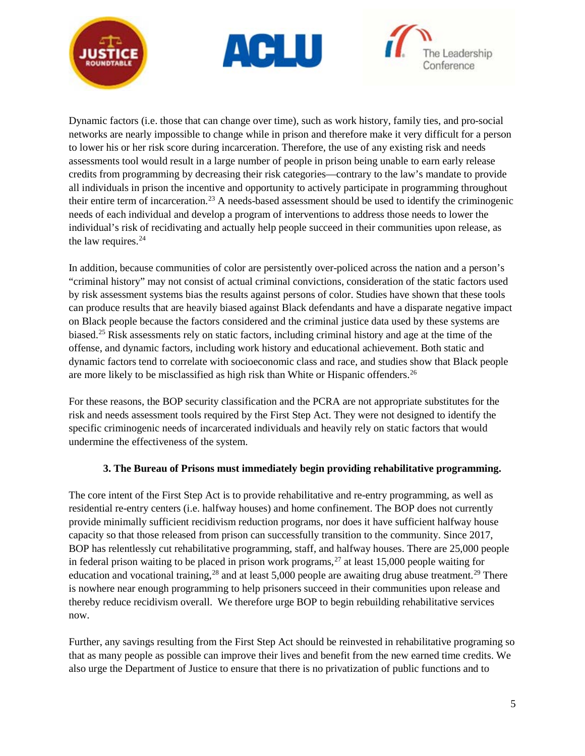





Dynamic factors (i.e. those that can change over time), such as work history, family ties, and pro-social networks are nearly impossible to change while in prison and therefore make it very difficult for a person to lower his or her risk score during incarceration. Therefore, the use of any existing risk and needs assessments tool would result in a large number of people in prison being unable to earn early release credits from programming by decreasing their risk categories—contrary to the law's mandate to provide all individuals in prison the incentive and opportunity to actively participate in programming throughout their entire term of incarceration.[23](#page-6-16) A needs-based assessment should be used to identify the criminogenic needs of each individual and develop a program of interventions to address those needs to lower the individual's risk of recidivating and actually help people succeed in their communities upon release, as the law requires. [24](#page-6-17)

In addition, because communities of color are persistently over-policed across the nation and a person's "criminal history" may not consist of actual criminal convictions, consideration of the static factors used by risk assessment systems bias the results against persons of color. Studies have shown that these tools can produce results that are heavily biased against Black defendants and have a disparate negative impact on Black people because the factors considered and the criminal justice data used by these systems are biased.<sup>[25](#page-6-18)</sup> Risk assessments rely on static factors, including criminal history and age at the time of the offense, and dynamic factors, including work history and educational achievement. Both static and dynamic factors tend to correlate with socioeconomic class and race, and studies show that Black people are more likely to be misclassified as high risk than White or Hispanic offenders[.26](#page-6-19)

For these reasons, the BOP security classification and the PCRA are not appropriate substitutes for the risk and needs assessment tools required by the First Step Act. They were not designed to identify the specific criminogenic needs of incarcerated individuals and heavily rely on static factors that would undermine the effectiveness of the system.

## **3. The Bureau of Prisons must immediately begin providing rehabilitative programming.**

The core intent of the First Step Act is to provide rehabilitative and re-entry programming, as well as residential re-entry centers (i.e. halfway houses) and home confinement. The BOP does not currently provide minimally sufficient recidivism reduction programs, nor does it have sufficient halfway house capacity so that those released from prison can successfully transition to the community. Since 2017, BOP has relentlessly cut rehabilitative programming, staff, and halfway houses. There are 25,000 people in federal prison waiting to be placed in prison work programs,  $27$  at least 15,000 people waiting for education and vocational training,<sup>[28](#page-6-21)</sup> and at least 5,000 people are awaiting drug abuse treatment.<sup>[29](#page-6-22)</sup> There is nowhere near enough programming to help prisoners succeed in their communities upon release and thereby reduce recidivism overall. We therefore urge BOP to begin rebuilding rehabilitative services now.

Further, any savings resulting from the First Step Act should be reinvested in rehabilitative programing so that as many people as possible can improve their lives and benefit from the new earned time credits. We also urge the Department of Justice to ensure that there is no privatization of public functions and to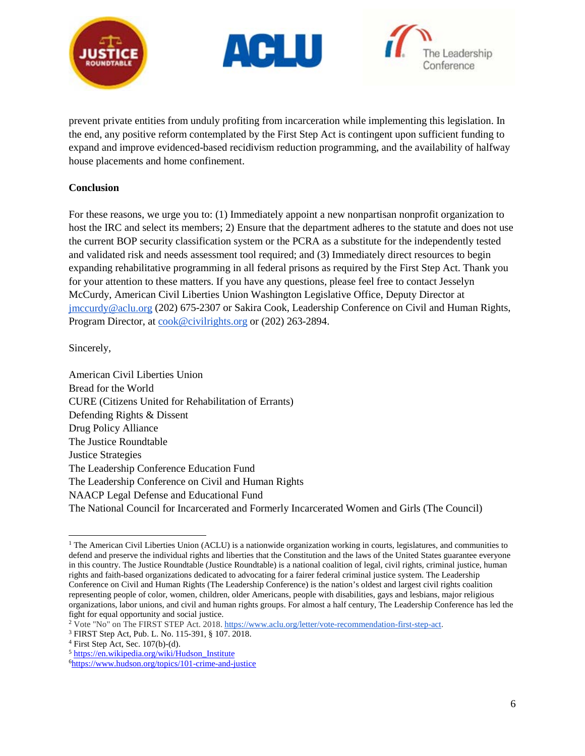





prevent private entities from unduly profiting from incarceration while implementing this legislation. In the end, any positive reform contemplated by the First Step Act is contingent upon sufficient funding to expand and improve evidenced-based recidivism reduction programming, and the availability of halfway house placements and home confinement.

## **Conclusion**

For these reasons, we urge you to: (1) Immediately appoint a new nonpartisan nonprofit organization to host the IRC and select its members; 2) Ensure that the department adheres to the statute and does not use the current BOP security classification system or the PCRA as a substitute for the independently tested and validated risk and needs assessment tool required; and (3) Immediately direct resources to begin expanding rehabilitative programming in all federal prisons as required by the First Step Act. Thank you for your attention to these matters. If you have any questions, please feel free to contact Jesselyn McCurdy, American Civil Liberties Union Washington Legislative Office, Deputy Director at [jmccurdy@aclu.org](mailto:jmccurdy@aclu.org) (202) 675-2307 or Sakira Cook, Leadership Conference on Civil and Human Rights, Program Director, at [cook@civilrights.org](mailto:cook@civilrights.org) or (202) 263-2894.

Sincerely,

American Civil Liberties Union Bread for the World CURE (Citizens United for Rehabilitation of Errants) Defending Rights & Dissent Drug Policy Alliance The Justice Roundtable Justice Strategies The Leadership Conference Education Fund The Leadership Conference on Civil and Human Rights NAACP Legal Defense and Educational Fund The National Council for Incarcerated and Formerly Incarcerated Women and Girls (The Council)

<span id="page-5-0"></span><sup>&</sup>lt;sup>1</sup> The American Civil Liberties Union (ACLU) is a nationwide organization working in courts, legislatures, and communities to defend and preserve the individual rights and liberties that the Constitution and the laws of the United States guarantee everyone in this country. The Justice Roundtable (Justice Roundtable) is a national coalition of legal, civil rights, criminal justice, human rights and faith-based organizations dedicated to advocating for a fairer federal criminal justice system. The Leadership Conference on Civil and Human Rights (The Leadership Conference) is the nation's oldest and largest civil rights coalition representing people of color, women, children, older Americans, people with disabilities, gays and lesbians, major religious organizations, labor unions, and civil and human rights groups. For almost a half century, The Leadership Conference has led the fight for equal opportunity and social justice.  $\overline{a}$ 

<span id="page-5-1"></span><sup>2</sup> Vote "No" on The FIRST STEP Act. 2018. [https://www.aclu.org/letter/vote-recommendation-first-step-act.](https://www.aclu.org/letter/vote-recommendation-first-step-act) 3 FIRST Step Act, Pub. L. No. 115-391, § 107. 2018.

<span id="page-5-2"></span>

<span id="page-5-3"></span><sup>4</sup> First Step Act, Sec. 107(b)-(d).

<span id="page-5-4"></span><sup>5</sup> [https://en.wikipedia.org/wiki/Hudson\\_Institute](https://en.wikipedia.org/wiki/Hudson_Institute)

<span id="page-5-5"></span>[<sup>6</sup>https://www.hudson.org/topics/101-crime-and-justice](https://www.hudson.org/topics/101-crime-and-justice)